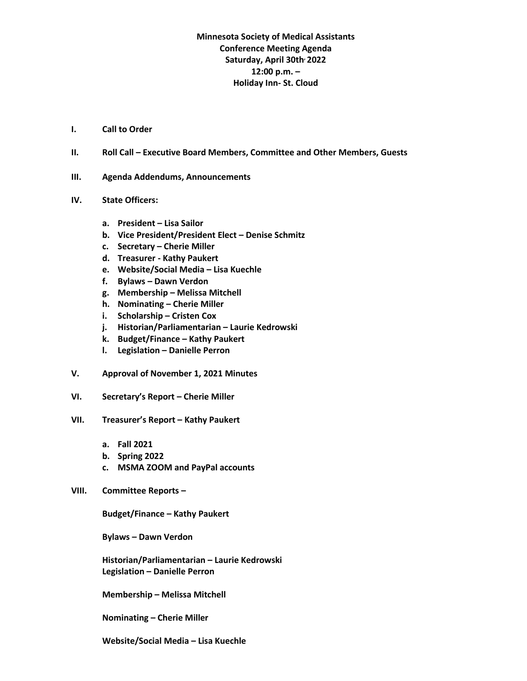## **Minnesota Society of Medical Assistants Conference Meeting Agenda Saturday, April 30th, 2022 12:00 p.m. – Holiday Inn- St. Cloud**

- **I. Call to Order**
- **II. Roll Call – Executive Board Members, Committee and Other Members, Guests**
- **III. Agenda Addendums, Announcements**
- **IV. State Officers:**
	- **a. President – Lisa Sailor**
	- **b. Vice President/President Elect – Denise Schmitz**
	- **c. Secretary – Cherie Miller**
	- **d. Treasurer - Kathy Paukert**
	- **e. Website/Social Media – Lisa Kuechle**
	- **f. Bylaws – Dawn Verdon**
	- **g. Membership – Melissa Mitchell**
	- **h. Nominating – Cherie Miller**
	- **i. Scholarship – Cristen Cox**
	- **j. Historian/Parliamentarian – Laurie Kedrowski**
	- **k. Budget/Finance – Kathy Paukert**
	- **l. Legislation – Danielle Perron**
- **V. Approval of November 1, 2021 Minutes**
- **VI. Secretary's Report – Cherie Miller**
- **VII. Treasurer's Report – Kathy Paukert**
	- **a. Fall 2021**
	- **b. Spring 2022**
	- **c. MSMA ZOOM and PayPal accounts**
- **VIII. Committee Reports –**

**Budget/Finance – Kathy Paukert**

**Bylaws – Dawn Verdon**

**Historian/Parliamentarian – Laurie Kedrowski Legislation – Danielle Perron**

**Membership – Melissa Mitchell**

**Nominating – Cherie Miller**

**Website/Social Media – Lisa Kuechle**